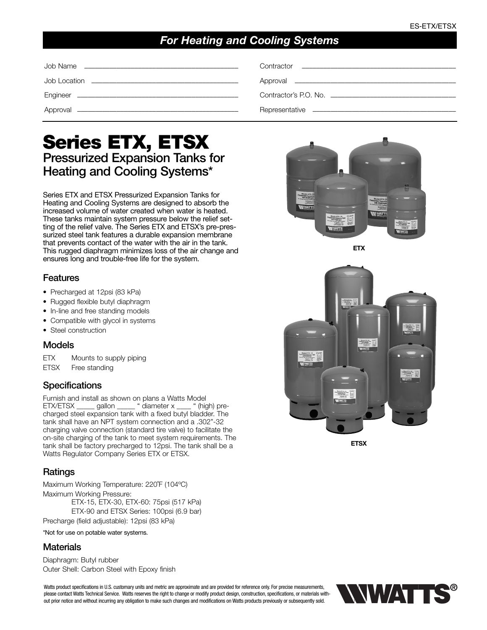# *For Heating and Cooling Systems*

# **Series ETX, ETSX Pressurized Expansion Tanks for Heating and Cooling Systems\***

Series ETX and ETSX Pressurized Expansion Tanks for Heating and Cooling Systems are designed to absorb the increased volume of water created when water is heated. These tanks maintain system pressure below the relief setting of the relief valve. The Series ETX and ETSX's pre-pressurized steel tank features a durable expansion membrane that prevents contact of the water with the air in the tank. This rugged diaphragm minimizes loss of the air change and ensures long and trouble-free life for the system.

#### **Features**

- Precharged at 12psi (83 kPa)
- Rugged flexible butyl diaphragm
- In-line and free standing models
- Compatible with glycol in systems
- Steel construction

### **Models**

ETX Mounts to supply piping ETSX Free standing

## **Specifications**

Furnish and install as shown on plans a Watts Model<br>ETX/ETSX \_\_\_\_\_\_ gallon \_\_\_\_\_\_ " diameter x \_\_\_\_ " (high) pre-ETX/ETSX \_\_\_\_\_ gallon \_\_\_\_\_ " diameter x \_\_ charged steel expansion tank with a fixed butyl bladder. The tank shall have an NPT system connection and a .302"-32 charging valve connection (standard tire valve) to facilitate the on-site charging of the tank to meet system requirements. The tank shall be factory precharged to 12psi. The tank shall be a Watts Regulator Company Series ETX or ETSX.

## **Ratings**

Maximum Working Temperature: 220˚F (104ºC) Maximum Working Pressure: ETX-15, ETX-30, ETX-60: 75psi (517 kPa) ETX-90 and ETSX Series: 100psi (6.9 bar)

Precharge (field adjustable): 12psi (83 kPa)

\*Not for use on potable water systems.

### **Materials**

Diaphragm: Butyl rubber Outer Shell: Carbon Steel with Epoxy finish

Watts product specifications in U.S. customary units and metric are approximate and are provided for reference only. For precise measurements, please contact Watts Technical Service. Watts reserves the right to change or modify product design, construction, specifications, or materials without prior notice and without incurring any obligation to make such changes and modifications on Watts products previously or subsequently sold.



**ETX**



**ETSX**